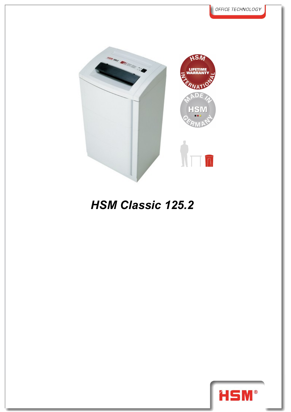

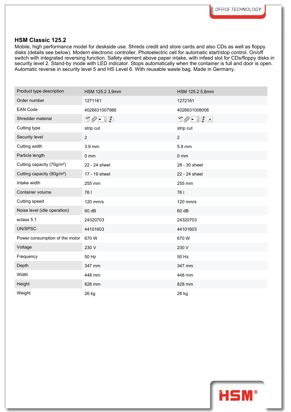Mobile, high performance model for deskside use. Shreds credit and store cards and also CDs as well as floppy disks (details see below). Modern electronic controller. Photoelectric cell for automatic start/stop control. On/off switch with integrated reversing function. Safety element above paper intake, with infeed slot for CDs/floppy disks in security level 2. Stand-by mode with LED indicator. Stops automatically when the container is full and door is open. Automatic reverse in security level 5 and HS Level 6. With reusable waste bag. Made in Germany.

| Product type description               | HSM 125.2 3,9mm                       | HSM 125.2 5,8mm                                                                                                                                                                                                                                                                                                                                     |
|----------------------------------------|---------------------------------------|-----------------------------------------------------------------------------------------------------------------------------------------------------------------------------------------------------------------------------------------------------------------------------------------------------------------------------------------------------|
| Order number                           | 1271161                               | 1272161                                                                                                                                                                                                                                                                                                                                             |
| <b>EAN Code</b>                        | 4026631007986                         | 4026631008006                                                                                                                                                                                                                                                                                                                                       |
| Shredder material                      | $\Box \oslash \bullet \ \Box \oslash$ | $\begin{picture}(15,14) \put(0,0){\line(1,0){15}} \put(15,0){\line(1,0){15}} \put(15,0){\line(1,0){15}} \put(15,0){\line(1,0){15}} \put(15,0){\line(1,0){15}} \put(15,0){\line(1,0){15}} \put(15,0){\line(1,0){15}} \put(15,0){\line(1,0){15}} \put(15,0){\line(1,0){15}} \put(15,0){\line(1,0){15}} \put(15,0){\line(1,0){15}} \put(15,0){\line(1$ |
| Cutting type                           | strip cut                             | strip cut                                                                                                                                                                                                                                                                                                                                           |
| Security level                         | $\overline{2}$                        | $\overline{2}$                                                                                                                                                                                                                                                                                                                                      |
| Cutting width                          | 3.9 mm                                | 5.8 mm                                                                                                                                                                                                                                                                                                                                              |
| Particle length                        | $0 \text{ mm}$                        | $0 \text{ mm}$                                                                                                                                                                                                                                                                                                                                      |
| Cutting capacity (70g/m <sup>2</sup> ) | 22 - 24 sheet                         | 28 - 30 sheet                                                                                                                                                                                                                                                                                                                                       |
| Cutting capacity (80g/m <sup>2</sup> ) | 17 - 19 sheet                         | 22 - 24 sheet                                                                                                                                                                                                                                                                                                                                       |
| Intake width                           | 255 mm                                | 255 mm                                                                                                                                                                                                                                                                                                                                              |
| Container volume                       | 761                                   | 761                                                                                                                                                                                                                                                                                                                                                 |
| Cutting speed                          | 120 mm/s                              | 120 mm/s                                                                                                                                                                                                                                                                                                                                            |
| Noise level (idle operation)           | 60 dB                                 | 60 dB                                                                                                                                                                                                                                                                                                                                               |
| eclass 5.1                             | 24320703                              | 24320703                                                                                                                                                                                                                                                                                                                                            |
| UN/SPSC                                | 44101603                              | 44101603                                                                                                                                                                                                                                                                                                                                            |
| Power consumption of the motor         | 670W                                  | 670W                                                                                                                                                                                                                                                                                                                                                |
| Voltage                                | 230 V                                 | 230 V                                                                                                                                                                                                                                                                                                                                               |
| Frequency                              | 50 Hz                                 | 50 Hz                                                                                                                                                                                                                                                                                                                                               |
| Depth                                  | 347 mm                                | 347 mm                                                                                                                                                                                                                                                                                                                                              |
| Width                                  | 448 mm                                | 448 mm                                                                                                                                                                                                                                                                                                                                              |
| Height                                 | 828 mm                                | 828 mm                                                                                                                                                                                                                                                                                                                                              |
| Weight                                 | 26 kg                                 | 26 kg                                                                                                                                                                                                                                                                                                                                               |

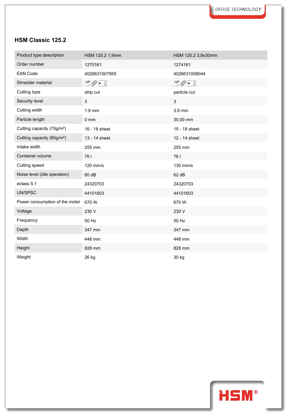| Product type description               | HSM 125.2 1,9mm                 | HSM 125.2 3,9x30mm           |
|----------------------------------------|---------------------------------|------------------------------|
| Order number                           | 1270161                         | 1274161                      |
| <b>EAN Code</b>                        | 4026631007955                   | 4026631008044                |
| Shredder material                      | $\cup \mathscr{O} = \mathbb{I}$ | $\mathbb{C}Q$ - $\mathbb{C}$ |
| Cutting type                           | strip cut                       | particle cut                 |
| Security level                         | $\sqrt{3}$                      | 3                            |
| Cutting width                          | $1.9$ mm                        | 3.9 mm                       |
| Particle length                        | $0 \text{ mm}$                  | 30,00 mm                     |
| Cutting capacity (70g/m <sup>2</sup> ) | 16 - 18 sheet                   | 15 - 18 sheet                |
| Cutting capacity (80g/m <sup>2</sup> ) | 13 - 14 sheet                   | 12 - 14 sheet                |
| Intake width                           | 255 mm                          | 255 mm                       |
| Container volume                       | 761                             | 761                          |
| Cutting speed                          | 120 mm/s                        | 130 mm/s                     |
| Noise level (idle operation)           | 60 dB                           | 62 dB                        |
| eclass 5.1                             | 24320703                        | 24320703                     |
| UN/SPSC                                | 44101603                        | 44101603                     |
| Power consumption of the motor         | 670W                            | 670W                         |
| Voltage                                | 230 V                           | 230 V                        |
| Frequency                              | 50 Hz                           | 50 Hz                        |
| Depth                                  | 347 mm                          | 347 mm                       |
| Width                                  | 448 mm                          | 448 mm                       |
| Height                                 | 828 mm                          | 828 mm                       |
| Weight                                 | 26 kg                           | 30 kg                        |

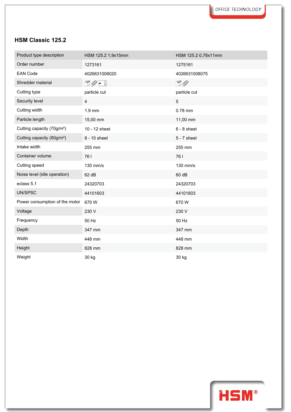| Product type description               | HSM 125.2 1,9x15mm                     | HSM 125.2 0,78x11mm |  |
|----------------------------------------|----------------------------------------|---------------------|--|
| Order number                           | 1273161                                | 1275161             |  |
| <b>EAN Code</b>                        | 4026631008020                          | 4026631008075       |  |
| Shredder material                      | $\mathbb{D}\mathscr{O}$ - $\mathbb{F}$ | $\Box$              |  |
| Cutting type                           | particle cut                           | particle cut        |  |
| Security level                         | $\overline{\mathbf{4}}$                | 5                   |  |
| Cutting width                          | $1.9 \text{ mm}$                       | 0.78 mm             |  |
| Particle length                        | 15,00 mm                               | 11,00 mm            |  |
| Cutting capacity (70g/m <sup>2</sup> ) | 10 - 12 sheet                          | $6 - 8$ sheet       |  |
| Cutting capacity (80g/m <sup>2</sup> ) | 8 - 10 sheet                           | $5 - 7$ sheet       |  |
| Intake width                           | 255 mm                                 | 255 mm              |  |
| Container volume                       | 761                                    | 761                 |  |
| Cutting speed                          | 130 mm/s                               | 130 mm/s            |  |
| Noise level (idle operation)           | 62 dB                                  | 60 dB               |  |
| eclass 5.1                             | 24320703                               | 24320703            |  |
| UN/SPSC                                | 44101603                               | 44101603            |  |
| Power consumption of the motor         | 670W                                   | 670W                |  |
| Voltage                                | 230 V                                  | 230 V               |  |
| Frequency                              | 50 Hz                                  | 50 Hz               |  |
| Depth                                  | 347 mm                                 | 347 mm              |  |
| Width                                  | 448 mm                                 | 448 mm              |  |
| Height                                 | 828 mm                                 | 828 mm              |  |
| Weight                                 | 30 kg                                  | 30 kg               |  |